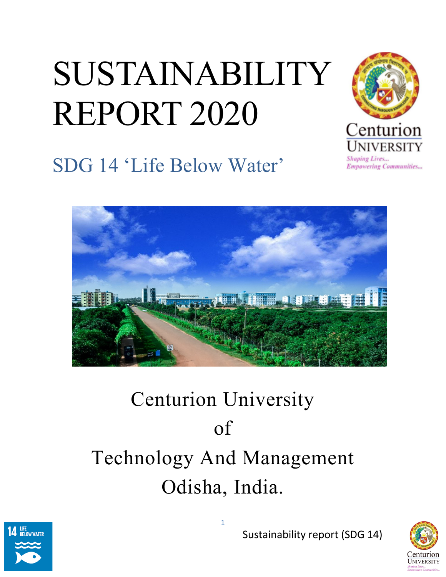# SUSTAINABILITY REPORT 2020



SDG 14 'Life Below Water'



## Centurion University of Technology And Management Odisha, India.





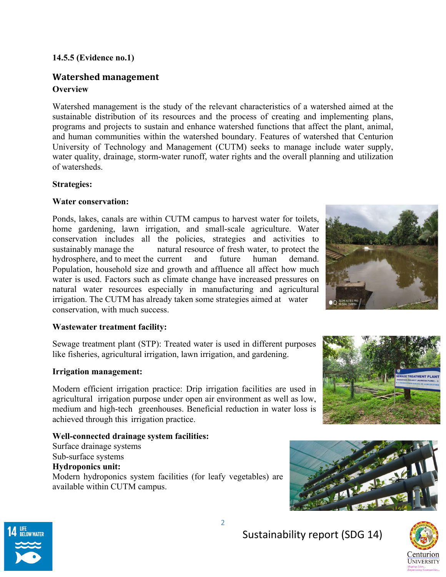#### **14.5.5 (Evidence no.1)**

### **Watershed management Overview**

Watershed management is the study of the relevant characteristics of a watershed aimed at the sustainable distribution of its resources and the process of creating and implementing plans, programs and projects to sustain and enhance watershed functions that affect the plant, animal, and human communities within the watershed boundary. Features of watershed that Centurion University of Technology and Management (CUTM) seeks to manage include water supply, water quality, drainage, storm-water runoff, water rights and the overall planning and utilization of watersheds.

#### **Strategies:**

#### **Water conservation:**

Ponds, lakes, canals are within CUTM campus to harvest water for toilets, home gardening, lawn irrigation, and small-scale agriculture. Water conservation includes all the policies, strategies and activities to sustainably manage the natural resource of fresh water, to protect the hydrosphere, and to meet the current and future human demand. Population, household size and growth and affluence all affect how much water is used. Factors such as climate change have increased pressures on natural water resources especially in manufacturing and agricultural irrigation. The CUTM has already taken some strategies aimed at water conservation, with much success.



#### **Wastewater treatment facility:**

Sewage treatment plant (STP): Treated water is used in different purposes like fisheries, agricultural irrigation, lawn irrigation, and gardening.

#### **Irrigation management:**

Modern efficient irrigation practice: Drip irrigation facilities are used in agricultural irrigation purpose under open air environment as well as low, medium and high-tech greenhouses. Beneficial reduction in water loss is achieved through this irrigation practice.

#### **Well-connected drainage system facilities:**

Surface drainage systems Sub-surface systems **Hydroponics unit:**  Modern hydroponics system facilities (for leafy vegetables) are available within CUTM campus.







Sustainability report (SDG 14)